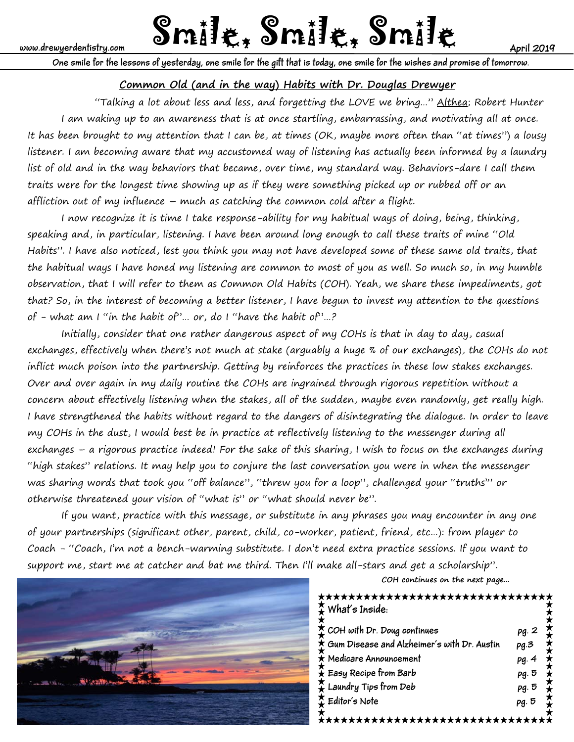# www.drewyerdentistry.com **Smille, Smille, Smille, Smille**

**One smile for the lessons of yesterday, one smile for the gift that is today, one smile for the wishes and promise of tomorrow.**

# **Common Old (and in the way) Habits with Dr. Douglas Drewyer**

"Talking a lot about less and less, and forgetting the LOVE we bring..." Althea; Robert Hunter I am waking up to an awareness that is at once startling, embarrassing, and motivating all at once. It has been brought to my attention that I can be, at times (OK, maybe more often than "at times") a lousy listener. I am becoming aware that my accustomed way of listening has actually been informed by a laundry list of old and in the way behaviors that became, over time, my standard way. Behaviors-dare I call them traits were for the longest time showing up as if they were something picked up or rubbed off or an affliction out of my influence – much as catching the common cold after a flight.

 I now recognize it is time I take response-ability for my habitual ways of doing, being, thinking, speaking and, in particular, listening. I have been around long enough to call these traits of mine "Old Habits". I have also noticed, lest you think you may not have developed some of these same old traits, that the habitual ways I have honed my listening are common to most of you as well. So much so, in my humble observation, that I will refer to them as Common Old Habits (COH). Yeah, we share these impediments, got that? So, in the interest of becoming a better listener, I have begun to invest my attention to the questions of - what am I "in the habit of"… or, do I "have the habit of"…?

 Initially, consider that one rather dangerous aspect of my COHs is that in day to day, casual exchanges, effectively when there's not much at stake (arguably a huge % of our exchanges), the COHs do not inflict much poison into the partnership. Getting by reinforces the practices in these low stakes exchanges. Over and over again in my daily routine the COHs are ingrained through rigorous repetition without a concern about effectively listening when the stakes, all of the sudden, maybe even randomly, get really high. I have strengthened the habits without regard to the dangers of disintegrating the dialogue. In order to leave my COHs in the dust, I would best be in practice at reflectively listening to the messenger during all exchanges – a rigorous practice indeed! For the sake of this sharing, I wish to focus on the exchanges during "high stakes" relations. It may help you to conjure the last conversation you were in when the messenger was sharing words that took you "off balance", "threw you for a loop", challenged your "truths'" or otherwise threatened your vision of "what is" or "what should never be".

If you want, practice with this message, or substitute in any phrases you may encounter in any one of your partnerships (significant other, parent, child, co-worker, patient, friend, etc…): from player to Coach - "Coach, I'm not a bench-warming substitute. I don't need extra practice sessions. If you want to support me, start me at catcher and bat me third. Then I'll make all-stars and get a scholarship".



**COH continues on the next page...**

# <del>★★★★★★★★★★★★★★★★★★★★★★★★★★★</del>★ **What's Inside:**

| $\sum$ COH with Dr. Doug continues            | pg. 2 |
|-----------------------------------------------|-------|
| † Gum Disease and Alzheimer's with Dr. Austin | pq.3  |
| $\star$ Medicare Announcement                 | pg.4  |
| $\hat{\star}$ Easy Recipe from Barb           | pg. 5 |
| $\bigstar$ Laundry Tips from Deb              | pg. 5 |
| $\sum$ Editor's Note                          | pg. 5 |
|                                               |       |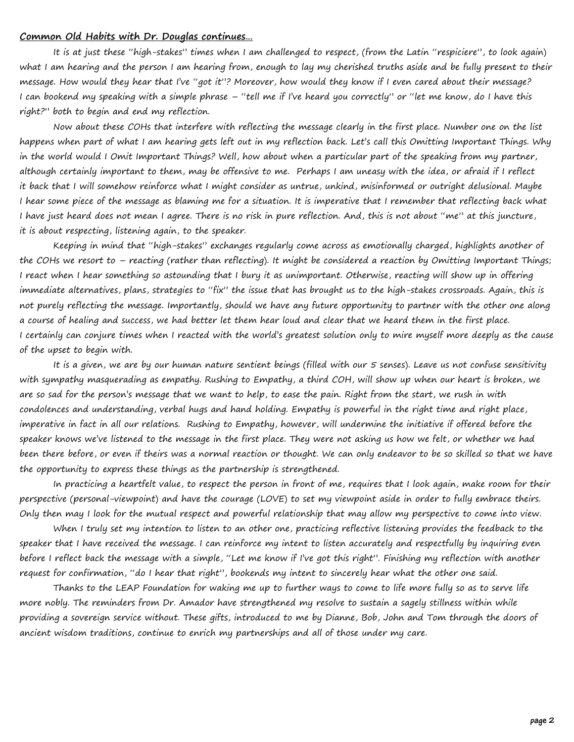#### **Common Old Habits with Dr. Douglas continues…**

 It is at just these "high-stakes" times when I am challenged to respect, (from the Latin "respiciere", to look again) what I am hearing and the person I am hearing from, enough to lay my cherished truths aside and be fully present to their message. How would they hear that I've "got it"? Moreover, how would they know if I even cared about their message? I can bookend my speaking with a simple phrase – "tell me if I've heard you correctly" or "let me know, do I have this right?" both to begin and end my reflection.

 Now about these COHs that interfere with reflecting the message clearly in the first place. Number one on the list happens when part of what I am hearing gets left out in my reflection back. Let's call this Omitting Important Things. Why in the world would I Omit Important Things? Well, how about when a particular part of the speaking from my partner, although certainly important to them, may be offensive to me. Perhaps I am uneasy with the idea, or afraid if I reflect it back that I will somehow reinforce what I might consider as untrue, unkind, misinformed or outright delusional. Maybe I hear some piece of the message as blaming me for a situation. It is imperative that I remember that reflecting back what I have just heard does not mean I agree. There is no risk in pure reflection. And, this is not about "me" at this juncture, it is about respecting, listening again, to the speaker.

 Keeping in mind that "high-stakes" exchanges regularly come across as emotionally charged, highlights another of the COHs we resort to – reacting (rather than reflecting). It might be considered a reaction by Omitting Important Things; I react when I hear something so astounding that I bury it as unimportant. Otherwise, reacting will show up in offering immediate alternatives, plans, strategies to "fix" the issue that has brought us to the high-stakes crossroads. Again, this is not purely reflecting the message. Importantly, should we have any future opportunity to partner with the other one along a course of healing and success, we had better let them hear loud and clear that we heard them in the first place. I certainly can conjure times when I reacted with the world's greatest solution only to mire myself more deeply as the cause of the upset to begin with.

It is a given, we are by our human nature sentient beings (filled with our 5 senses). Leave us not confuse sensitivity with sympathy masquerading as empathy. Rushing to Empathy, a third COH, will show up when our heart is broken, we are so sad for the person's message that we want to help, to ease the pain. Right from the start, we rush in with condolences and understanding, verbal hugs and hand holding. Empathy is powerful in the right time and right place, imperative in fact in all our relations. Rushing to Empathy, however, will undermine the initiative if offered before the speaker knows we've listened to the message in the first place. They were not asking us how we felt, or whether we had been there before, or even if theirs was a normal reaction or thought. We can only endeavor to be so skilled so that we have the opportunity to express these things as the partnership is strengthened.

 In practicing a heartfelt value, to respect the person in front of me, requires that I look again, make room for their perspective (personal-viewpoint) and have the courage (LOVE) to set my viewpoint aside in order to fully embrace theirs. Only then may I look for the mutual respect and powerful relationship that may allow my perspective to come into view.

 When I truly set my intention to listen to an other one, practicing reflective listening provides the feedback to the speaker that I have received the message. I can reinforce my intent to listen accurately and respectfully by inquiring even before I reflect back the message with a simple, "Let me know if I've got this right". Finishing my reflection with another request for confirmation, "do I hear that right", bookends my intent to sincerely hear what the other one said.

 Thanks to the LEAP Foundation for waking me up to further ways to come to life more fully so as to serve life more nobly. The reminders from Dr. Amador have strengthened my resolve to sustain a sagely stillness within while providing a sovereign service without. These gifts, introduced to me by Dianne, Bob, John and Tom through the doors of ancient wisdom traditions, continue to enrich my partnerships and all of those under my care.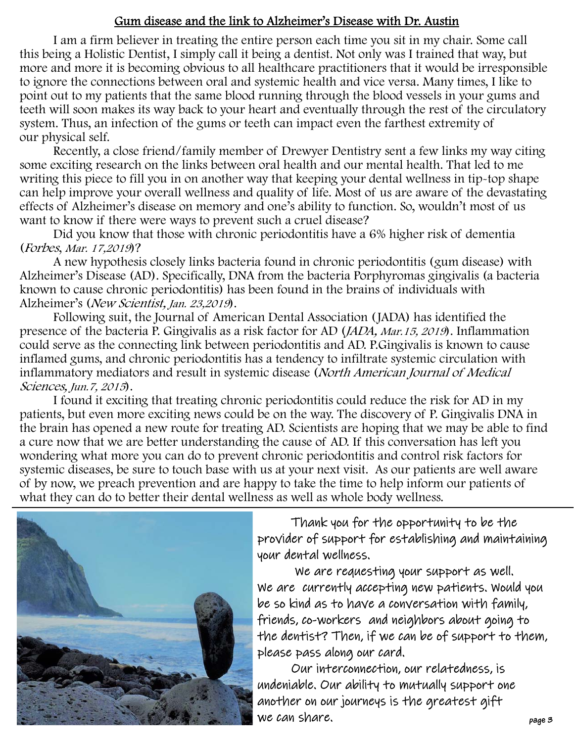# Gum disease and the link to Alzheimer's Disease with Dr. Austin

 I am a firm believer in treating the entire person each time you sit in my chair. Some call this being a Holistic Dentist, I simply call it being a dentist. Not only was I trained that way, but more and more it is becoming obvious to all healthcare practitioners that it would be irresponsible to ignore the connections between oral and systemic health and vice versa. Many times, I like to point out to my patients that the same blood running through the blood vessels in your gums and teeth will soon makes its way back to your heart and eventually through the rest of the circulatory system. Thus, an infection of the gums or teeth can impact even the farthest extremity of our physical self.

 Recently, a close friend/family member of Drewyer Dentistry sent a few links my way citing some exciting research on the links between oral health and our mental health. That led to me writing this piece to fill you in on another way that keeping your dental wellness in tip-top shape can help improve your overall wellness and quality of life. Most of us are aware of the devastating effects of Alzheimer's disease on memory and one's ability to function. So, wouldn't most of us want to know if there were ways to prevent such a cruel disease?

 Did you know that those with chronic periodontitis have a 6% higher risk of dementia (Forbes, Mar. 17,2019)?

 A new hypothesis closely links bacteria found in chronic periodontitis (gum disease) with Alzheimer's Disease (AD). Specifically, DNA from the bacteria Porphyromas gingivalis (a bacteria known to cause chronic periodontitis) has been found in the brains of individuals with Alzheimer's (New Scientist, Jan. 23,2019).

 Following suit, the Journal of American Dental Association (JADA) has identified the presence of the bacteria P. Gingivalis as a risk factor for AD (JADA, Mar.15, 2019). Inflammation could serve as the connecting link between periodontitis and AD. P.Gingivalis is known to cause inflamed gums, and chronic periodontitis has a tendency to infiltrate systemic circulation with inflammatory mediators and result in systemic disease (North American Journal of Medical Sciences, Jun.7, 2015).

 I found it exciting that treating chronic periodontitis could reduce the risk for AD in my patients, but even more exciting news could be on the way. The discovery of P. Gingivalis DNA in the brain has opened a new route for treating AD. Scientists are hoping that we may be able to find a cure now that we are better understanding the cause of AD. If this conversation has left you wondering what more you can do to prevent chronic periodontitis and control risk factors for systemic diseases, be sure to touch base with us at your next visit. As our patients are well aware of by now, we preach prevention and are happy to take the time to help inform our patients of what they can do to better their dental wellness as well as whole body wellness.



Thank you for the opportunity to be the provider of support for establishing and maintaining your dental wellness.

 We are requesting your support as well. We are currently accepting new patients. Would you be so kind as to have a conversation with family, friends, co-workers and neighbors about going to the dentist? Then, if we can be of support to them, please pass along our card.

 Our interconnection, our relatedness, is undeniable. Our ability to mutually support one another on our journeys is the greatest gift we can share.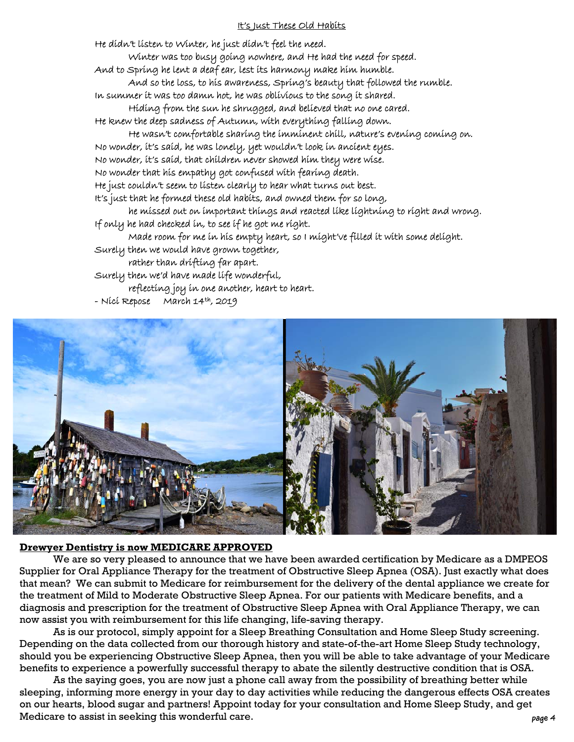### It's Just These Old Habits

He didn't listen to Winter, he just didn't feel the need.

Winter was too busy going nowhere, and He had the need for speed.

And to Spring he lent a deaf ear, lest its harmony make him humble.

 And so the loss, to his awareness, Spring's beauty that followed the rumble. In summer it was too damn hot, he was oblivious to the song it shared.

Hiding from the sun he shrugged, and believed that no one cared.

He knew the deep sadness of Autumn, with everything falling down.

He wasn't comfortable sharing the imminent chill, nature's evening coming on.

No wonder, it's said, he was lonely, yet wouldn't look in ancient eyes.

No wonder, it's said, that children never showed him they were wise.

No wonder that his empathy got confused with fearing death.

He just couldn't seem to listen clearly to hear what turns out best.

It's just that he formed these old habits, and owned them for so long,

 he missed out on important things and reacted like lightning to right and wrong. If only he had checked in, to see if he got me right.

Made room for me in his empty heart, so I might've filled it with some delight.

Surely then we would have grown together,

rather than drifting far apart.

Surely then we'd have made life wonderful,

reflecting joy in one another, heart to heart.

- Nici Repose March 14th, 2019



### **Drewyer Dentistry is now MEDICARE APPROVED**

 We are so very pleased to announce that we have been awarded certification by Medicare as a DMPEOS Supplier for Oral Appliance Therapy for the treatment of Obstructive Sleep Apnea (OSA). Just exactly what does that mean? We can submit to Medicare for reimbursement for the delivery of the dental appliance we create for the treatment of Mild to Moderate Obstructive Sleep Apnea. For our patients with Medicare benefits, and a diagnosis and prescription for the treatment of Obstructive Sleep Apnea with Oral Appliance Therapy, we can now assist you with reimbursement for this life changing, life-saving therapy.

 As is our protocol, simply appoint for a Sleep Breathing Consultation and Home Sleep Study screening. Depending on the data collected from our thorough history and state-of-the-art Home Sleep Study technology, should you be experiencing Obstructive Sleep Apnea, then you will be able to take advantage of your Medicare benefits to experience a powerfully successful therapy to abate the silently destructive condition that is OSA.

 As the saying goes, you are now just a phone call away from the possibility of breathing better while sleeping, informing more energy in your day to day activities while reducing the dangerous effects OSA creates on our hearts, blood sugar and partners! Appoint today for your consultation and Home Sleep Study, and get Medicare to assist in seeking this wonderful care.